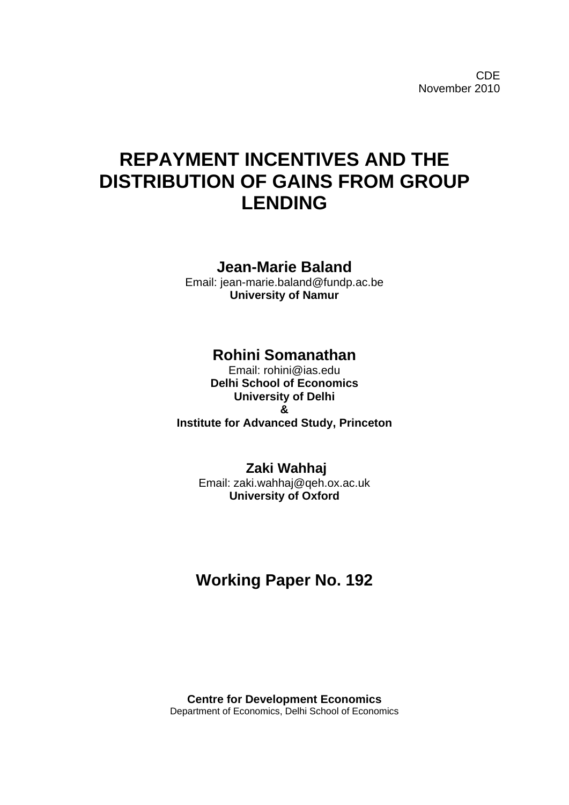CDE November 2010

# **REPAYMENT INCENTIVES AND THE DISTRIBUTION OF GAINS FROM GROUP LENDING**

### **Jean-Marie Baland**

Email: jean-marie.baland@fundp.ac.be **University of Namur** 

## **Rohini Somanathan**

Email: rohini@ias.edu **Delhi School of Economics University of Delhi & Institute for Advanced Study, Princeton**

### **Zaki Wahhaj**

Email: zaki.wahhaj@qeh.ox.ac.uk **University of Oxford** 

# **Working Paper No. 192**

**Centre for Development Economics**  Department of Economics, Delhi School of Economics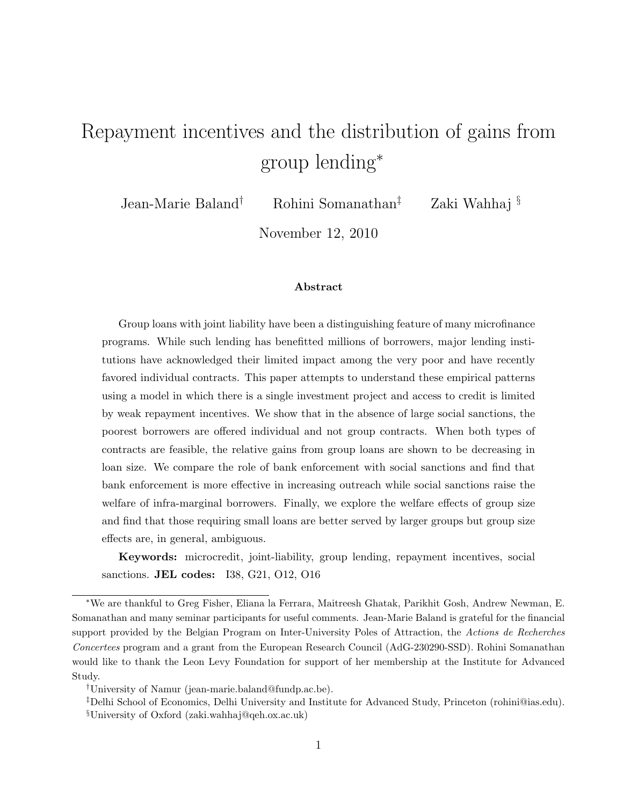# Repayment incentives and the distribution of gains from group lending<sup>∗</sup>

Jean-Marie Baland† Rohini Somanathan‡ Zaki Wahhaj §

November 12, 2010

#### Abstract

Group loans with joint liability have been a distinguishing feature of many microfinance programs. While such lending has benefitted millions of borrowers, major lending institutions have acknowledged their limited impact among the very poor and have recently favored individual contracts. This paper attempts to understand these empirical patterns using a model in which there is a single investment project and access to credit is limited by weak repayment incentives. We show that in the absence of large social sanctions, the poorest borrowers are offered individual and not group contracts. When both types of contracts are feasible, the relative gains from group loans are shown to be decreasing in loan size. We compare the role of bank enforcement with social sanctions and find that bank enforcement is more effective in increasing outreach while social sanctions raise the welfare of infra-marginal borrowers. Finally, we explore the welfare effects of group size and find that those requiring small loans are better served by larger groups but group size effects are, in general, ambiguous.

Keywords: microcredit, joint-liability, group lending, repayment incentives, social sanctions. JEL codes: I38, G21, O12, O16

<sup>∗</sup>We are thankful to Greg Fisher, Eliana la Ferrara, Maitreesh Ghatak, Parikhit Gosh, Andrew Newman, E. Somanathan and many seminar participants for useful comments. Jean-Marie Baland is grateful for the financial support provided by the Belgian Program on Inter-University Poles of Attraction, the Actions de Recherches Concertees program and a grant from the European Research Council (AdG-230290-SSD). Rohini Somanathan would like to thank the Leon Levy Foundation for support of her membership at the Institute for Advanced Study.

<sup>†</sup>University of Namur (jean-marie.baland@fundp.ac.be).

<sup>‡</sup>Delhi School of Economics, Delhi University and Institute for Advanced Study, Princeton (rohini@ias.edu).

<sup>§</sup>University of Oxford (zaki.wahhaj@qeh.ox.ac.uk)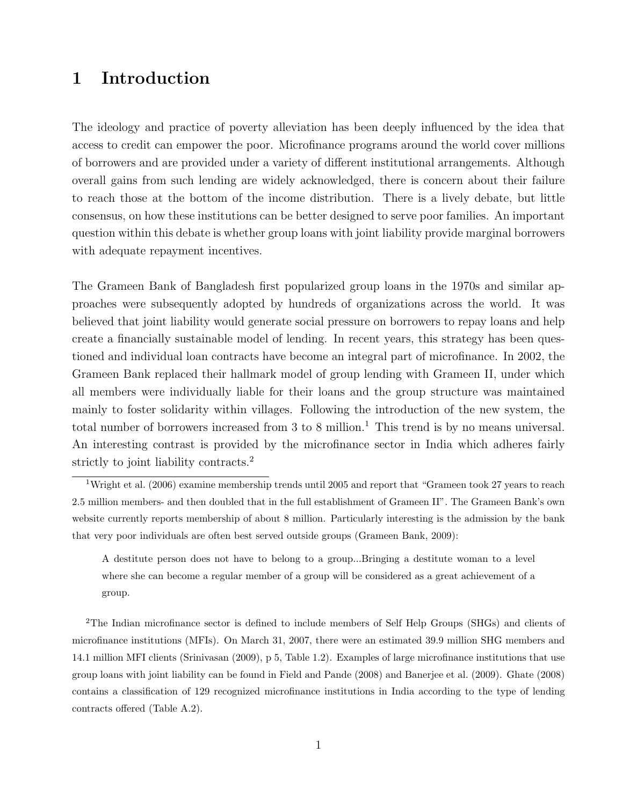### 1 Introduction

The ideology and practice of poverty alleviation has been deeply influenced by the idea that access to credit can empower the poor. Microfinance programs around the world cover millions of borrowers and are provided under a variety of different institutional arrangements. Although overall gains from such lending are widely acknowledged, there is concern about their failure to reach those at the bottom of the income distribution. There is a lively debate, but little consensus, on how these institutions can be better designed to serve poor families. An important question within this debate is whether group loans with joint liability provide marginal borrowers with adequate repayment incentives.

The Grameen Bank of Bangladesh first popularized group loans in the 1970s and similar approaches were subsequently adopted by hundreds of organizations across the world. It was believed that joint liability would generate social pressure on borrowers to repay loans and help create a financially sustainable model of lending. In recent years, this strategy has been questioned and individual loan contracts have become an integral part of microfinance. In 2002, the Grameen Bank replaced their hallmark model of group lending with Grameen II, under which all members were individually liable for their loans and the group structure was maintained mainly to foster solidarity within villages. Following the introduction of the new system, the total number of borrowers increased from 3 to 8 million.<sup>1</sup> This trend is by no means universal. An interesting contrast is provided by the microfinance sector in India which adheres fairly strictly to joint liability contracts.<sup>2</sup>

A destitute person does not have to belong to a group...Bringing a destitute woman to a level where she can become a regular member of a group will be considered as a great achievement of a group.

<sup>2</sup>The Indian microfinance sector is defined to include members of Self Help Groups (SHGs) and clients of microfinance institutions (MFIs). On March 31, 2007, there were an estimated 39.9 million SHG members and 14.1 million MFI clients (Srinivasan (2009), p 5, Table 1.2). Examples of large microfinance institutions that use group loans with joint liability can be found in Field and Pande (2008) and Banerjee et al. (2009). Ghate (2008) contains a classification of 129 recognized microfinance institutions in India according to the type of lending contracts offered (Table A.2).

<sup>1</sup>Wright et al. (2006) examine membership trends until 2005 and report that "Grameen took 27 years to reach 2.5 million members- and then doubled that in the full establishment of Grameen II". The Grameen Bank's own website currently reports membership of about 8 million. Particularly interesting is the admission by the bank that very poor individuals are often best served outside groups (Grameen Bank, 2009):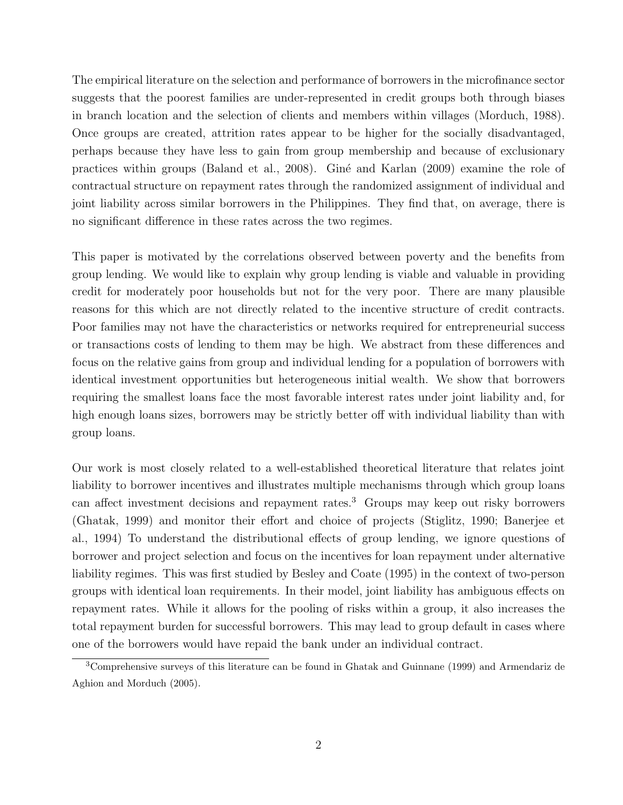The empirical literature on the selection and performance of borrowers in the microfinance sector suggests that the poorest families are under-represented in credit groups both through biases in branch location and the selection of clients and members within villages (Morduch, 1988). Once groups are created, attrition rates appear to be higher for the socially disadvantaged, perhaps because they have less to gain from group membership and because of exclusionary practices within groups (Baland et al., 2008). Giné and Karlan (2009) examine the role of contractual structure on repayment rates through the randomized assignment of individual and joint liability across similar borrowers in the Philippines. They find that, on average, there is no significant difference in these rates across the two regimes.

This paper is motivated by the correlations observed between poverty and the benefits from group lending. We would like to explain why group lending is viable and valuable in providing credit for moderately poor households but not for the very poor. There are many plausible reasons for this which are not directly related to the incentive structure of credit contracts. Poor families may not have the characteristics or networks required for entrepreneurial success or transactions costs of lending to them may be high. We abstract from these differences and focus on the relative gains from group and individual lending for a population of borrowers with identical investment opportunities but heterogeneous initial wealth. We show that borrowers requiring the smallest loans face the most favorable interest rates under joint liability and, for high enough loans sizes, borrowers may be strictly better off with individual liability than with group loans.

Our work is most closely related to a well-established theoretical literature that relates joint liability to borrower incentives and illustrates multiple mechanisms through which group loans can affect investment decisions and repayment rates.<sup>3</sup> Groups may keep out risky borrowers (Ghatak, 1999) and monitor their effort and choice of projects (Stiglitz, 1990; Banerjee et al., 1994) To understand the distributional effects of group lending, we ignore questions of borrower and project selection and focus on the incentives for loan repayment under alternative liability regimes. This was first studied by Besley and Coate (1995) in the context of two-person groups with identical loan requirements. In their model, joint liability has ambiguous effects on repayment rates. While it allows for the pooling of risks within a group, it also increases the total repayment burden for successful borrowers. This may lead to group default in cases where one of the borrowers would have repaid the bank under an individual contract.

<sup>3</sup>Comprehensive surveys of this literature can be found in Ghatak and Guinnane (1999) and Armendariz de Aghion and Morduch (2005).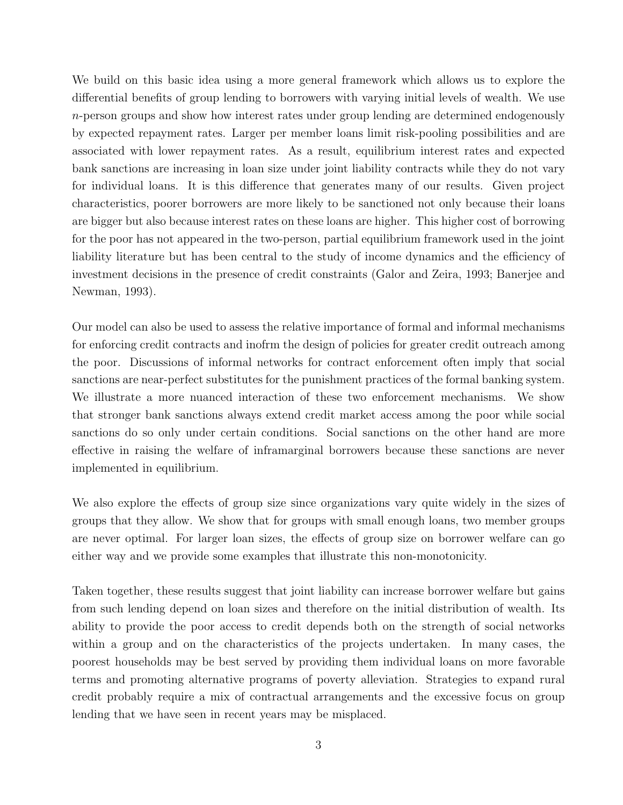We build on this basic idea using a more general framework which allows us to explore the differential benefits of group lending to borrowers with varying initial levels of wealth. We use n-person groups and show how interest rates under group lending are determined endogenously by expected repayment rates. Larger per member loans limit risk-pooling possibilities and are associated with lower repayment rates. As a result, equilibrium interest rates and expected bank sanctions are increasing in loan size under joint liability contracts while they do not vary for individual loans. It is this difference that generates many of our results. Given project characteristics, poorer borrowers are more likely to be sanctioned not only because their loans are bigger but also because interest rates on these loans are higher. This higher cost of borrowing for the poor has not appeared in the two-person, partial equilibrium framework used in the joint liability literature but has been central to the study of income dynamics and the efficiency of investment decisions in the presence of credit constraints (Galor and Zeira, 1993; Banerjee and Newman, 1993).

Our model can also be used to assess the relative importance of formal and informal mechanisms for enforcing credit contracts and inofrm the design of policies for greater credit outreach among the poor. Discussions of informal networks for contract enforcement often imply that social sanctions are near-perfect substitutes for the punishment practices of the formal banking system. We illustrate a more nuanced interaction of these two enforcement mechanisms. We show that stronger bank sanctions always extend credit market access among the poor while social sanctions do so only under certain conditions. Social sanctions on the other hand are more effective in raising the welfare of inframarginal borrowers because these sanctions are never implemented in equilibrium.

We also explore the effects of group size since organizations vary quite widely in the sizes of groups that they allow. We show that for groups with small enough loans, two member groups are never optimal. For larger loan sizes, the effects of group size on borrower welfare can go either way and we provide some examples that illustrate this non-monotonicity.

Taken together, these results suggest that joint liability can increase borrower welfare but gains from such lending depend on loan sizes and therefore on the initial distribution of wealth. Its ability to provide the poor access to credit depends both on the strength of social networks within a group and on the characteristics of the projects undertaken. In many cases, the poorest households may be best served by providing them individual loans on more favorable terms and promoting alternative programs of poverty alleviation. Strategies to expand rural credit probably require a mix of contractual arrangements and the excessive focus on group lending that we have seen in recent years may be misplaced.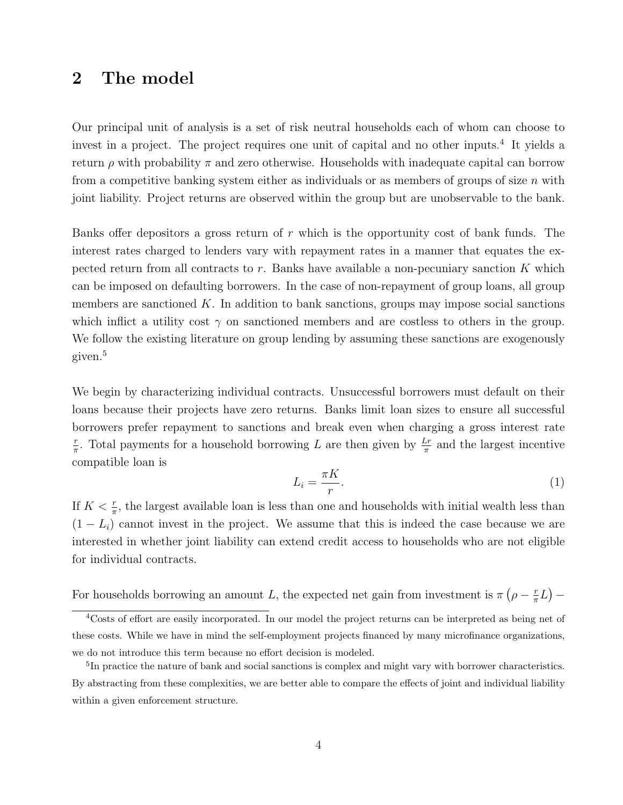#### 2 The model

Our principal unit of analysis is a set of risk neutral households each of whom can choose to invest in a project. The project requires one unit of capital and no other inputs.<sup>4</sup> It yields a return  $\rho$  with probability  $\pi$  and zero otherwise. Households with inadequate capital can borrow from a competitive banking system either as individuals or as members of groups of size  $n$  with joint liability. Project returns are observed within the group but are unobservable to the bank.

Banks offer depositors a gross return of r which is the opportunity cost of bank funds. The interest rates charged to lenders vary with repayment rates in a manner that equates the expected return from all contracts to  $r$ . Banks have available a non-pecuniary sanction  $K$  which can be imposed on defaulting borrowers. In the case of non-repayment of group loans, all group members are sanctioned  $K$ . In addition to bank sanctions, groups may impose social sanctions which inflict a utility cost  $\gamma$  on sanctioned members and are costless to others in the group. We follow the existing literature on group lending by assuming these sanctions are exogenously given.<sup>5</sup>

We begin by characterizing individual contracts. Unsuccessful borrowers must default on their loans because their projects have zero returns. Banks limit loan sizes to ensure all successful borrowers prefer repayment to sanctions and break even when charging a gross interest rate r  $\frac{r}{\pi}$ . Total payments for a household borrowing L are then given by  $\frac{Lr}{\pi}$  and the largest incentive compatible loan is

$$
L_i = \frac{\pi K}{r}.\tag{1}
$$

If  $K < \frac{r}{\pi}$ , the largest available loan is less than one and households with initial wealth less than  $(1 - L_i)$  cannot invest in the project. We assume that this is indeed the case because we are interested in whether joint liability can extend credit access to households who are not eligible for individual contracts.

For households borrowing an amount L, the expected net gain from investment is  $\pi$  ( $\rho - \frac{r}{\pi}$ )  $\frac{r}{\pi}L$ ) –

<sup>4</sup>Costs of effort are easily incorporated. In our model the project returns can be interpreted as being net of these costs. While we have in mind the self-employment projects financed by many microfinance organizations, we do not introduce this term because no effort decision is modeled.

<sup>&</sup>lt;sup>5</sup>In practice the nature of bank and social sanctions is complex and might vary with borrower characteristics. By abstracting from these complexities, we are better able to compare the effects of joint and individual liability within a given enforcement structure.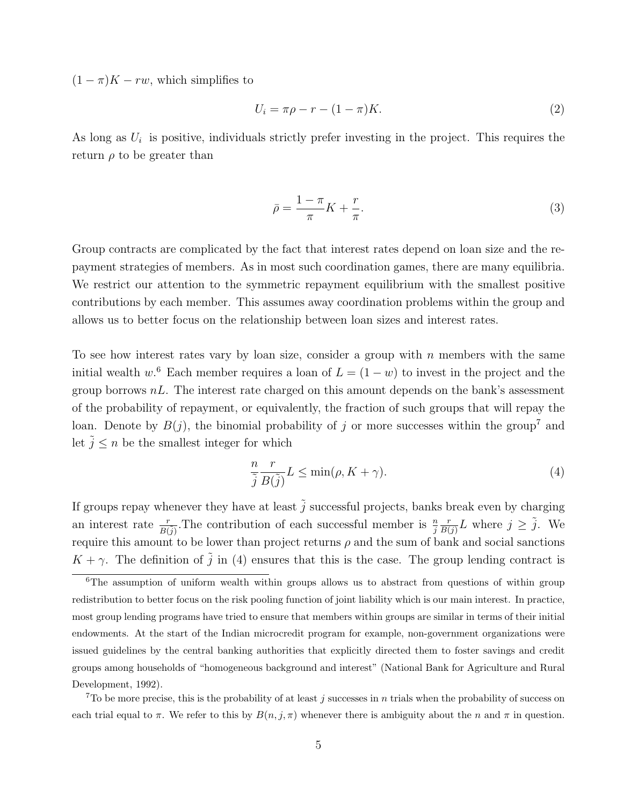$(1 - \pi)K - rw$ , which simplifies to

$$
U_i = \pi \rho - r - (1 - \pi)K. \tag{2}
$$

As long as  $U_i$  is positive, individuals strictly prefer investing in the project. This requires the return  $\rho$  to be greater than

$$
\bar{\rho} = \frac{1 - \pi}{\pi} K + \frac{r}{\pi}.\tag{3}
$$

Group contracts are complicated by the fact that interest rates depend on loan size and the repayment strategies of members. As in most such coordination games, there are many equilibria. We restrict our attention to the symmetric repayment equilibrium with the smallest positive contributions by each member. This assumes away coordination problems within the group and allows us to better focus on the relationship between loan sizes and interest rates.

To see how interest rates vary by loan size, consider a group with  $n$  members with the same initial wealth w.<sup>6</sup> Each member requires a loan of  $L = (1 - w)$  to invest in the project and the group borrows  $nL$ . The interest rate charged on this amount depends on the bank's assessment of the probability of repayment, or equivalently, the fraction of such groups that will repay the loan. Denote by  $B(j)$ , the binomial probability of j or more successes within the group<sup>7</sup> and let  $\tilde{j} < n$  be the smallest integer for which

$$
\frac{n}{\tilde{j}}\frac{r}{B(\tilde{j})}L \le \min(\rho, K + \gamma).
$$
\n(4)

If groups repay whenever they have at least  $\tilde{j}$  successful projects, banks break even by charging an interest rate  $\frac{r}{B(\tilde{j})}$ . The contribution of each successful member is  $\frac{n}{j}$ r  $\frac{r}{B(j)}L$  where  $j \geq \tilde{j}$ . We require this amount to be lower than project returns  $\rho$  and the sum of bank and social sanctions  $K + \gamma$ . The definition of  $\tilde{j}$  in (4) ensures that this is the case. The group lending contract is

<sup>7</sup>To be more precise, this is the probability of at least j successes in n trials when the probability of success on each trial equal to  $\pi$ . We refer to this by  $B(n, j, \pi)$  whenever there is ambiguity about the n and  $\pi$  in question.

<sup>&</sup>lt;sup>6</sup>The assumption of uniform wealth within groups allows us to abstract from questions of within group redistribution to better focus on the risk pooling function of joint liability which is our main interest. In practice, most group lending programs have tried to ensure that members within groups are similar in terms of their initial endowments. At the start of the Indian microcredit program for example, non-government organizations were issued guidelines by the central banking authorities that explicitly directed them to foster savings and credit groups among households of "homogeneous background and interest" (National Bank for Agriculture and Rural Development, 1992).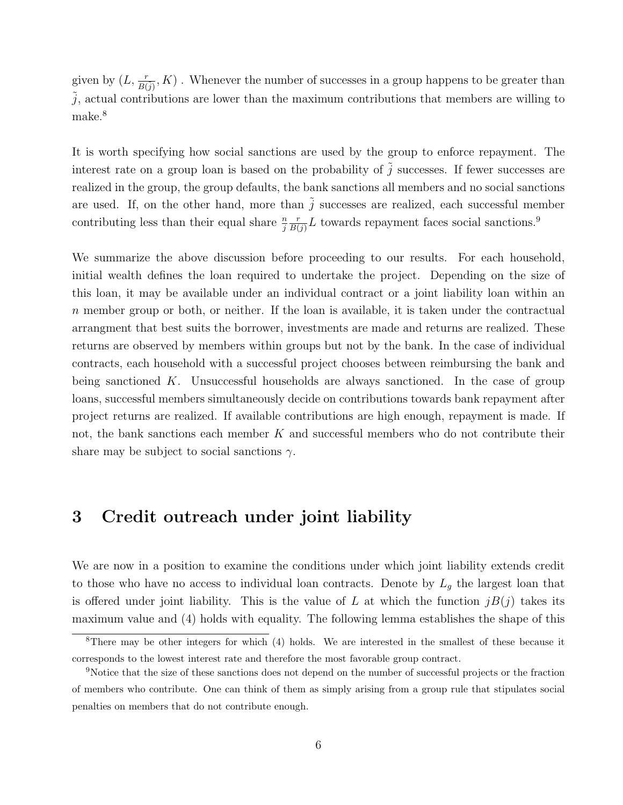given by  $(L, \frac{r}{B(\tilde{j})}, K)$ . Whenever the number of successes in a group happens to be greater than  $j$ , actual contributions are lower than the maximum contributions that members are willing to make.<sup>8</sup>

It is worth specifying how social sanctions are used by the group to enforce repayment. The interest rate on a group loan is based on the probability of  $\tilde{j}$  successes. If fewer successes are realized in the group, the group defaults, the bank sanctions all members and no social sanctions are used. If, on the other hand, more than  $\tilde{j}$  successes are realized, each successful member contributing less than their equal share  $\frac{n}{j}$ r  $\frac{r}{B(j)}L$  towards repayment faces social sanctions.<sup>9</sup>

We summarize the above discussion before proceeding to our results. For each household, initial wealth defines the loan required to undertake the project. Depending on the size of this loan, it may be available under an individual contract or a joint liability loan within an  $n$  member group or both, or neither. If the loan is available, it is taken under the contractual arrangment that best suits the borrower, investments are made and returns are realized. These returns are observed by members within groups but not by the bank. In the case of individual contracts, each household with a successful project chooses between reimbursing the bank and being sanctioned K. Unsuccessful households are always sanctioned. In the case of group loans, successful members simultaneously decide on contributions towards bank repayment after project returns are realized. If available contributions are high enough, repayment is made. If not, the bank sanctions each member K and successful members who do not contribute their share may be subject to social sanctions  $\gamma$ .

# 3 Credit outreach under joint liability

We are now in a position to examine the conditions under which joint liability extends credit to those who have no access to individual loan contracts. Denote by  $L_g$  the largest loan that is offered under joint liability. This is the value of L at which the function  $jB(j)$  takes its maximum value and (4) holds with equality. The following lemma establishes the shape of this

<sup>8</sup>There may be other integers for which (4) holds. We are interested in the smallest of these because it corresponds to the lowest interest rate and therefore the most favorable group contract.

<sup>9</sup>Notice that the size of these sanctions does not depend on the number of successful projects or the fraction of members who contribute. One can think of them as simply arising from a group rule that stipulates social penalties on members that do not contribute enough.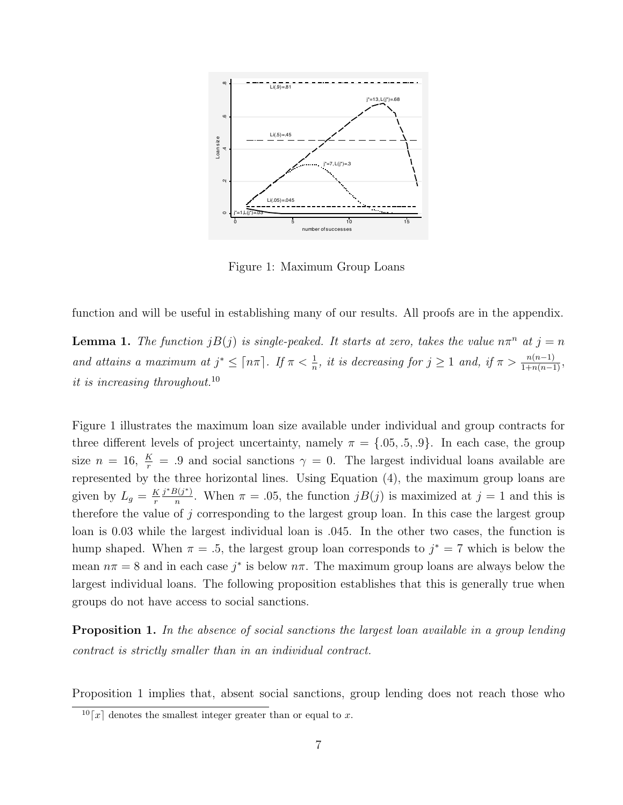

Figure 1: Maximum Group Loans

function and will be useful in establishing many of our results. All proofs are in the appendix.

**Lemma 1.** The function  $jB(j)$  is single-peaked. It starts at zero, takes the value  $n\pi^n$  at  $j = n$ and attains a maximum at  $j^* \leq \lceil n\pi \rceil$ . If  $\pi < \frac{1}{n}$ , it is decreasing for  $j \geq 1$  and, if  $\pi > \frac{n(n-1)}{1+n(n-1)}$ , it is increasing throughout.<sup>10</sup>

Figure 1 illustrates the maximum loan size available under individual and group contracts for three different levels of project uncertainty, namely  $\pi = \{.05, .5, .9\}$ . In each case, the group size  $n = 16$ ,  $\frac{K}{r} = .9$  and social sanctions  $\gamma = 0$ . The largest individual loans available are represented by the three horizontal lines. Using Equation (4), the maximum group loans are given by  $L_g = \frac{K}{r}$ r  $j^*B(j^*)$  $\frac{\partial (j^*)}{\partial n}$ . When  $\pi = .05$ , the function  $jB(j)$  is maximized at  $j = 1$  and this is therefore the value of  $j$  corresponding to the largest group loan. In this case the largest group loan is 0.03 while the largest individual loan is .045. In the other two cases, the function is hump shaped. When  $\pi = .5$ , the largest group loan corresponds to  $j^* = 7$  which is below the mean  $n\pi = 8$  and in each case  $j^*$  is below  $n\pi$ . The maximum group loans are always below the largest individual loans. The following proposition establishes that this is generally true when groups do not have access to social sanctions.

**Proposition 1.** In the absence of social sanctions the largest loan available in a group lending contract is strictly smaller than in an individual contract.

Proposition 1 implies that, absent social sanctions, group lending does not reach those who

 $\lfloor 10 \rfloor x \rfloor$  denotes the smallest integer greater than or equal to x.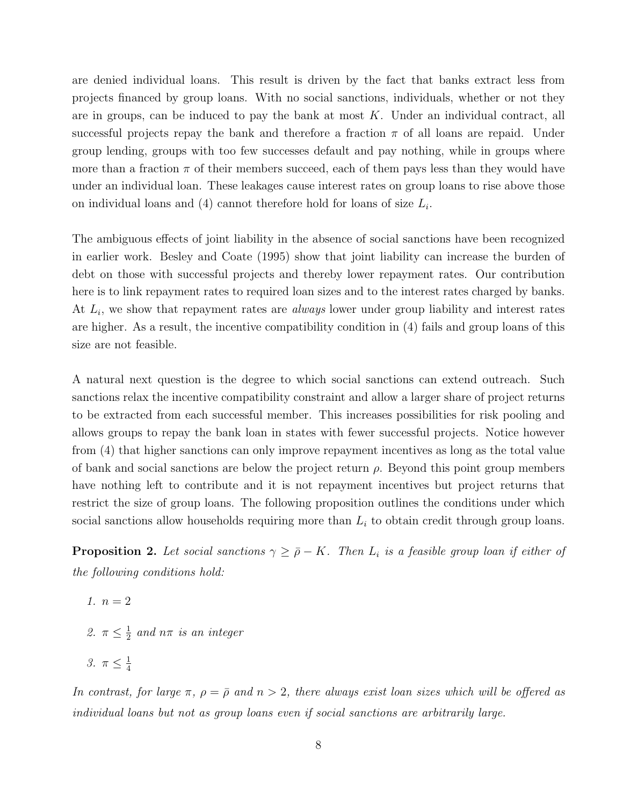are denied individual loans. This result is driven by the fact that banks extract less from projects financed by group loans. With no social sanctions, individuals, whether or not they are in groups, can be induced to pay the bank at most  $K$ . Under an individual contract, all successful projects repay the bank and therefore a fraction  $\pi$  of all loans are repaid. Under group lending, groups with too few successes default and pay nothing, while in groups where more than a fraction  $\pi$  of their members succeed, each of them pays less than they would have under an individual loan. These leakages cause interest rates on group loans to rise above those on individual loans and  $(4)$  cannot therefore hold for loans of size  $L_i$ .

The ambiguous effects of joint liability in the absence of social sanctions have been recognized in earlier work. Besley and Coate (1995) show that joint liability can increase the burden of debt on those with successful projects and thereby lower repayment rates. Our contribution here is to link repayment rates to required loan sizes and to the interest rates charged by banks. At  $L_i$ , we show that repayment rates are *always* lower under group liability and interest rates are higher. As a result, the incentive compatibility condition in (4) fails and group loans of this size are not feasible.

A natural next question is the degree to which social sanctions can extend outreach. Such sanctions relax the incentive compatibility constraint and allow a larger share of project returns to be extracted from each successful member. This increases possibilities for risk pooling and allows groups to repay the bank loan in states with fewer successful projects. Notice however from (4) that higher sanctions can only improve repayment incentives as long as the total value of bank and social sanctions are below the project return  $\rho$ . Beyond this point group members have nothing left to contribute and it is not repayment incentives but project returns that restrict the size of group loans. The following proposition outlines the conditions under which social sanctions allow households requiring more than  $L<sub>i</sub>$  to obtain credit through group loans.

**Proposition 2.** Let social sanctions  $\gamma \geq \bar{\rho} - K$ . Then  $L_i$  is a feasible group loan if either of the following conditions hold:

$$
1. \, n=2
$$

2.  $\pi \leq \frac{1}{2}$  $\frac{1}{2}$  and  $n\pi$  is an integer

$$
\beta. \ \pi \leq \frac{1}{4}
$$

In contrast, for large  $\pi$ ,  $\rho = \bar{\rho}$  and  $n > 2$ , there always exist loan sizes which will be offered as individual loans but not as group loans even if social sanctions are arbitrarily large.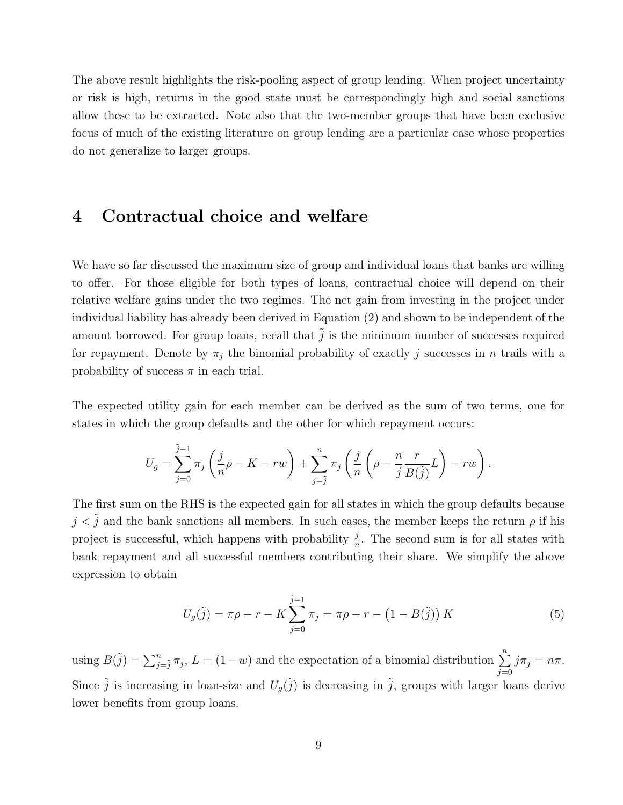The above result highlights the risk-pooling aspect of group lending. When project uncertainty or risk is high, returns in the good state must be correspondingly high and social sanctions allow these to be extracted. Note also that the two-member groups that have been exclusive focus of much of the existing literature on group lending are a particular case whose properties do not generalize to larger groups.

### 4 Contractual choice and welfare

We have so far discussed the maximum size of group and individual loans that banks are willing to offer. For those eligible for both types of loans, contractual choice will depend on their relative welfare gains under the two regimes. The net gain from investing in the project under individual liability has already been derived in Equation (2) and shown to be independent of the amount borrowed. For group loans, recall that  $\tilde{j}$  is the minimum number of successes required for repayment. Denote by  $\pi_j$  the binomial probability of exactly j successes in n trails with a probability of success  $\pi$  in each trial.

The expected utility gain for each member can be derived as the sum of two terms, one for states in which the group defaults and the other for which repayment occurs:

$$
U_g = \sum_{j=0}^{\tilde{j}-1} \pi_j \left( \frac{j}{n} \rho - K - rw \right) + \sum_{j=\tilde{j}}^n \pi_j \left( \frac{j}{n} \left( \rho - \frac{n}{j} \frac{r}{B(\tilde{j})} L \right) - rw \right).
$$

The first sum on the RHS is the expected gain for all states in which the group defaults because  $j < \tilde{j}$  and the bank sanctions all members. In such cases, the member keeps the return  $\rho$  if his project is successful, which happens with probability  $\frac{j}{n}$ . The second sum is for all states with bank repayment and all successful members contributing their share. We simplify the above expression to obtain

$$
U_g(\tilde{j}) = \pi \rho - r - K \sum_{j=0}^{\tilde{j}-1} \pi_j = \pi \rho - r - (1 - B(\tilde{j})) K
$$
 (5)

using  $B(\tilde{j}) = \sum_{j=\tilde{j}}^{n} \pi_j$ ,  $L = (1-w)$  and the expectation of a binomial distribution  $\sum_{j=1}^{n}$  $j=0$  $j\pi_j = n\pi$ . Since  $\tilde{j}$  is increasing in loan-size and  $U_g(\tilde{j})$  is decreasing in  $\tilde{j}$ , groups with larger loans derive lower benefits from group loans.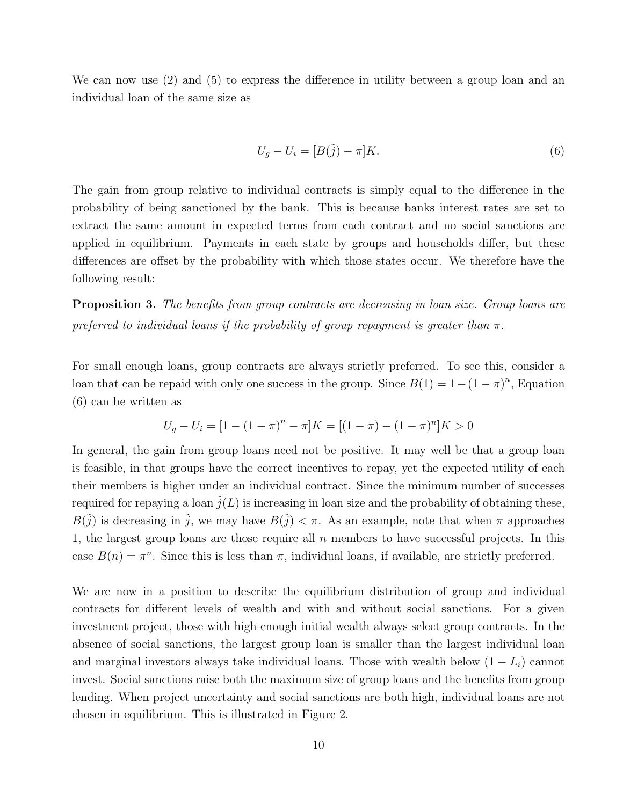We can now use (2) and (5) to express the difference in utility between a group loan and an individual loan of the same size as

$$
U_g - U_i = [B(\tilde{j}) - \pi]K.
$$
\n<sup>(6)</sup>

The gain from group relative to individual contracts is simply equal to the difference in the probability of being sanctioned by the bank. This is because banks interest rates are set to extract the same amount in expected terms from each contract and no social sanctions are applied in equilibrium. Payments in each state by groups and households differ, but these differences are offset by the probability with which those states occur. We therefore have the following result:

Proposition 3. The benefits from group contracts are decreasing in loan size. Group loans are preferred to individual loans if the probability of group repayment is greater than  $\pi$ .

For small enough loans, group contracts are always strictly preferred. To see this, consider a loan that can be repaid with only one success in the group. Since  $B(1) = 1-(1 - \pi)^n$ , Equation (6) can be written as

$$
U_g - U_i = [1 - (1 - \pi)^n - \pi]K = [(1 - \pi) - (1 - \pi)^n]K > 0
$$

In general, the gain from group loans need not be positive. It may well be that a group loan is feasible, in that groups have the correct incentives to repay, yet the expected utility of each their members is higher under an individual contract. Since the minimum number of successes required for repaying a loan  $\tilde{j}(L)$  is increasing in loan size and the probability of obtaining these,  $B(\tilde{j})$  is decreasing in  $\tilde{j}$ , we may have  $B(\tilde{j}) < \pi$ . As an example, note that when  $\pi$  approaches 1, the largest group loans are those require all  $n$  members to have successful projects. In this case  $B(n) = \pi^n$ . Since this is less than  $\pi$ , individual loans, if available, are strictly preferred.

We are now in a position to describe the equilibrium distribution of group and individual contracts for different levels of wealth and with and without social sanctions. For a given investment project, those with high enough initial wealth always select group contracts. In the absence of social sanctions, the largest group loan is smaller than the largest individual loan and marginal investors always take individual loans. Those with wealth below  $(1 - L_i)$  cannot invest. Social sanctions raise both the maximum size of group loans and the benefits from group lending. When project uncertainty and social sanctions are both high, individual loans are not chosen in equilibrium. This is illustrated in Figure 2.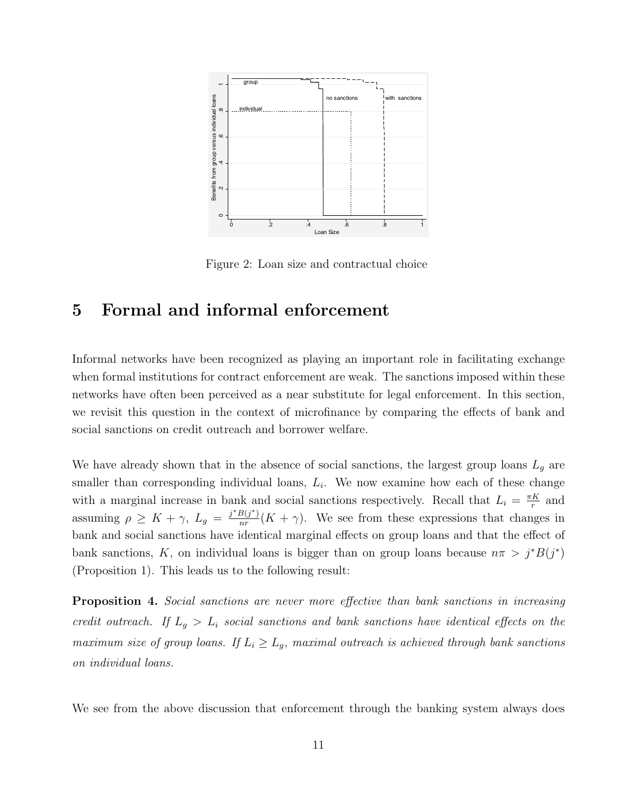

Figure 2: Loan size and contractual choice

### 5 Formal and informal enforcement

Informal networks have been recognized as playing an important role in facilitating exchange when formal institutions for contract enforcement are weak. The sanctions imposed within these networks have often been perceived as a near substitute for legal enforcement. In this section, we revisit this question in the context of microfinance by comparing the effects of bank and social sanctions on credit outreach and borrower welfare.

We have already shown that in the absence of social sanctions, the largest group loans  $L_q$  are smaller than corresponding individual loans,  $L_i$ . We now examine how each of these change with a marginal increase in bank and social sanctions respectively. Recall that  $L_i = \frac{\pi K}{r}$  $\frac{K}{r}$  and assuming  $\rho \geq K + \gamma$ ,  $L_g = \frac{j^* B(j^*)}{n^r}$  $\frac{B(j^*)}{nr}(K+\gamma)$ . We see from these expressions that changes in bank and social sanctions have identical marginal effects on group loans and that the effect of bank sanctions, K, on individual loans is bigger than on group loans because  $n\pi > j^*B(j^*)$ (Proposition 1). This leads us to the following result:

Proposition 4. Social sanctions are never more effective than bank sanctions in increasing credit outreach. If  $L_g > L_i$  social sanctions and bank sanctions have identical effects on the maximum size of group loans. If  $L_i \ge L_g$ , maximal outreach is achieved through bank sanctions on individual loans.

We see from the above discussion that enforcement through the banking system always does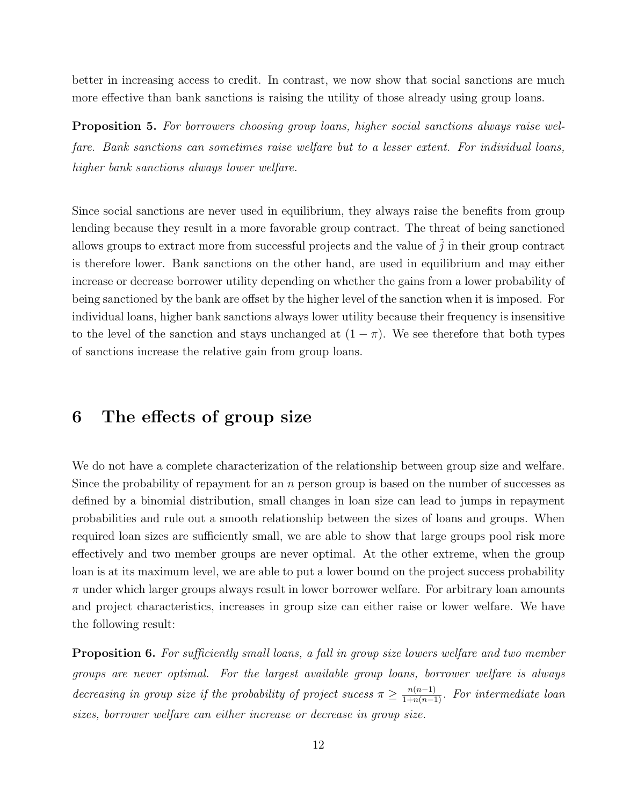better in increasing access to credit. In contrast, we now show that social sanctions are much more effective than bank sanctions is raising the utility of those already using group loans.

Proposition 5. For borrowers choosing group loans, higher social sanctions always raise welfare. Bank sanctions can sometimes raise welfare but to a lesser extent. For individual loans, higher bank sanctions always lower welfare.

Since social sanctions are never used in equilibrium, they always raise the benefits from group lending because they result in a more favorable group contract. The threat of being sanctioned allows groups to extract more from successful projects and the value of  $\tilde{j}$  in their group contract is therefore lower. Bank sanctions on the other hand, are used in equilibrium and may either increase or decrease borrower utility depending on whether the gains from a lower probability of being sanctioned by the bank are offset by the higher level of the sanction when it is imposed. For individual loans, higher bank sanctions always lower utility because their frequency is insensitive to the level of the sanction and stays unchanged at  $(1 - \pi)$ . We see therefore that both types of sanctions increase the relative gain from group loans.

### 6 The effects of group size

We do not have a complete characterization of the relationship between group size and welfare. Since the probability of repayment for an  $n$  person group is based on the number of successes as defined by a binomial distribution, small changes in loan size can lead to jumps in repayment probabilities and rule out a smooth relationship between the sizes of loans and groups. When required loan sizes are sufficiently small, we are able to show that large groups pool risk more effectively and two member groups are never optimal. At the other extreme, when the group loan is at its maximum level, we are able to put a lower bound on the project success probability  $\pi$  under which larger groups always result in lower borrower welfare. For arbitrary loan amounts and project characteristics, increases in group size can either raise or lower welfare. We have the following result:

**Proposition 6.** For sufficiently small loans, a fall in group size lowers welfare and two member groups are never optimal. For the largest available group loans, borrower welfare is always decreasing in group size if the probability of project sucess  $\pi \geq \frac{n(n-1)}{1+n(n-1)}$ . For intermediate loan sizes, borrower welfare can either increase or decrease in group size.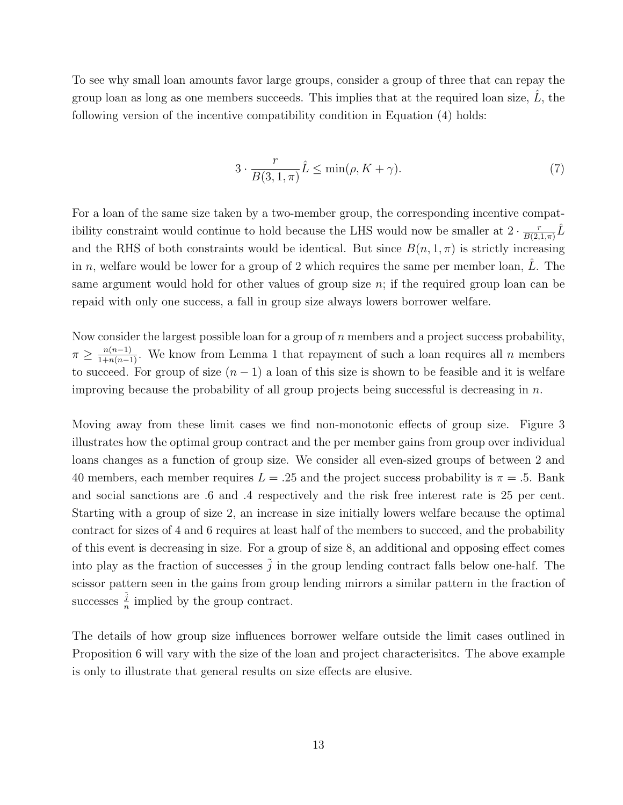To see why small loan amounts favor large groups, consider a group of three that can repay the group loan as long as one members succeeds. This implies that at the required loan size,  $L$ , the following version of the incentive compatibility condition in Equation (4) holds:

$$
3 \cdot \frac{r}{B(3, 1, \pi)} \hat{L} \le \min(\rho, K + \gamma). \tag{7}
$$

For a loan of the same size taken by a two-member group, the corresponding incentive compatibility constraint would continue to hold because the LHS would now be smaller at  $2 \cdot \frac{r}{RQ}$  $\frac{r}{B(2,1,\pi)}\hat{L}$ and the RHS of both constraints would be identical. But since  $B(n, 1, \pi)$  is strictly increasing in n, welfare would be lower for a group of 2 which requires the same per member loan,  $L$ . The same argument would hold for other values of group size  $n$ ; if the required group loan can be repaid with only one success, a fall in group size always lowers borrower welfare.

Now consider the largest possible loan for a group of  $n$  members and a project success probability,  $\pi \geq \frac{n(n-1)}{1+n(n-1)}$ . We know from Lemma 1 that repayment of such a loan requires all n members to succeed. For group of size  $(n-1)$  a loan of this size is shown to be feasible and it is welfare improving because the probability of all group projects being successful is decreasing in  $n$ .

Moving away from these limit cases we find non-monotonic effects of group size. Figure 3 illustrates how the optimal group contract and the per member gains from group over individual loans changes as a function of group size. We consider all even-sized groups of between 2 and 40 members, each member requires  $L = .25$  and the project success probability is  $\pi = .5$ . Bank and social sanctions are .6 and .4 respectively and the risk free interest rate is 25 per cent. Starting with a group of size 2, an increase in size initially lowers welfare because the optimal contract for sizes of 4 and 6 requires at least half of the members to succeed, and the probability of this event is decreasing in size. For a group of size 8, an additional and opposing effect comes into play as the fraction of successes  $\tilde{i}$  in the group lending contract falls below one-half. The scissor pattern seen in the gains from group lending mirrors a similar pattern in the fraction of successes  $\frac{\tilde{j}}{n}$  $\frac{j}{n}$  implied by the group contract.

The details of how group size influences borrower welfare outside the limit cases outlined in Proposition 6 will vary with the size of the loan and project characterisitcs. The above example is only to illustrate that general results on size effects are elusive.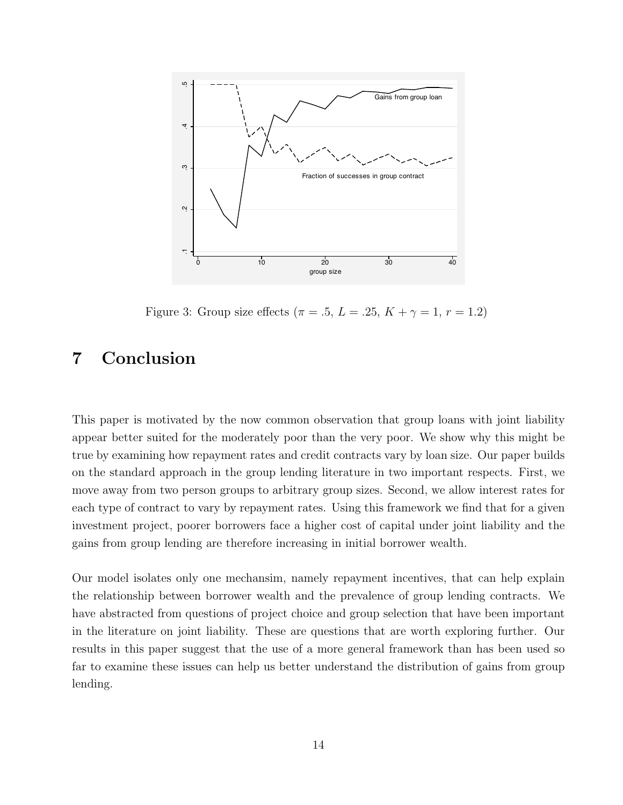

Figure 3: Group size effects ( $\pi = .5, L = .25, K + \gamma = 1, r = 1.2$ )

# 7 Conclusion

This paper is motivated by the now common observation that group loans with joint liability appear better suited for the moderately poor than the very poor. We show why this might be true by examining how repayment rates and credit contracts vary by loan size. Our paper builds on the standard approach in the group lending literature in two important respects. First, we move away from two person groups to arbitrary group sizes. Second, we allow interest rates for each type of contract to vary by repayment rates. Using this framework we find that for a given investment project, poorer borrowers face a higher cost of capital under joint liability and the gains from group lending are therefore increasing in initial borrower wealth.

Our model isolates only one mechansim, namely repayment incentives, that can help explain the relationship between borrower wealth and the prevalence of group lending contracts. We have abstracted from questions of project choice and group selection that have been important in the literature on joint liability. These are questions that are worth exploring further. Our results in this paper suggest that the use of a more general framework than has been used so far to examine these issues can help us better understand the distribution of gains from group lending.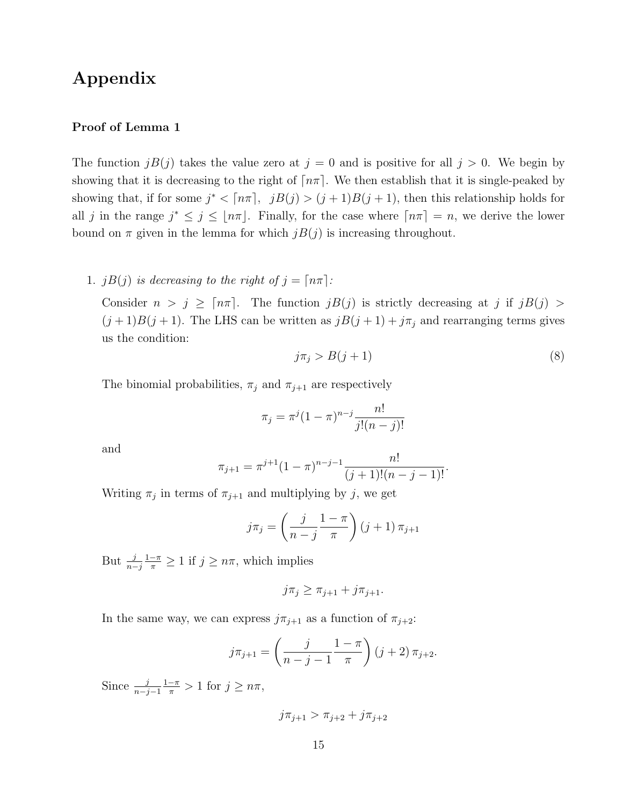### Appendix

#### Proof of Lemma 1

The function  $jB(j)$  takes the value zero at  $j = 0$  and is positive for all  $j > 0$ . We begin by showing that it is decreasing to the right of  $\lceil n\pi \rceil$ . We then establish that it is single-peaked by showing that, if for some  $j^* < \lceil n\pi \rceil$ ,  $jB(j) > (j+1)B(j+1)$ , then this relationship holds for all j in the range  $j^* \leq j \leq |n\pi|$ . Finally, for the case where  $\lceil n\pi \rceil = n$ , we derive the lower bound on  $\pi$  given in the lemma for which  $jB(j)$  is increasing throughout.

1. jB(j) is decreasing to the right of  $j = \lceil n\pi \rceil$ :

Consider  $n > j \geq \lceil n\pi \rceil$ . The function  $jB(j)$  is strictly decreasing at j if  $jB(j)$  $(j+1)B(j+1)$ . The LHS can be written as  $jB(j+1) + j\pi_j$  and rearranging terms gives us the condition:

$$
j\pi_j > B(j+1) \tag{8}
$$

The binomial probabilities,  $\pi_j$  and  $\pi_{j+1}$  are respectively

$$
\pi_j = \pi^j (1 - \pi)^{n - j} \frac{n!}{j!(n - j)!}
$$

and

$$
\pi_{j+1} = \pi^{j+1} (1 - \pi)^{n-j-1} \frac{n!}{(j+1)!(n-j-1)!}.
$$

Writing  $\pi_j$  in terms of  $\pi_{j+1}$  and multiplying by j, we get

$$
j\pi_j = \left(\frac{j}{n-j}\frac{1-\pi}{\pi}\right)(j+1)\pi_{j+1}
$$

But  $\frac{j}{n-j}$  $\frac{1-\pi}{\pi} \geq 1$  if  $j \geq n\pi$ , which implies

$$
j\pi_j \geq \pi_{j+1} + j\pi_{j+1}.
$$

In the same way, we can express  $j\pi_{j+1}$  as a function of  $\pi_{j+2}$ :

$$
j\pi_{j+1} = \left(\frac{j}{n-j-1} \frac{1-\pi}{\pi}\right) (j+2) \pi_{j+2}.
$$

Since  $\frac{j}{n-j-1}$  $\frac{1-\pi}{\pi} > 1$  for  $j \geq n\pi$ ,

$$
j\pi_{j+1} > \pi_{j+2} + j\pi_{j+2}
$$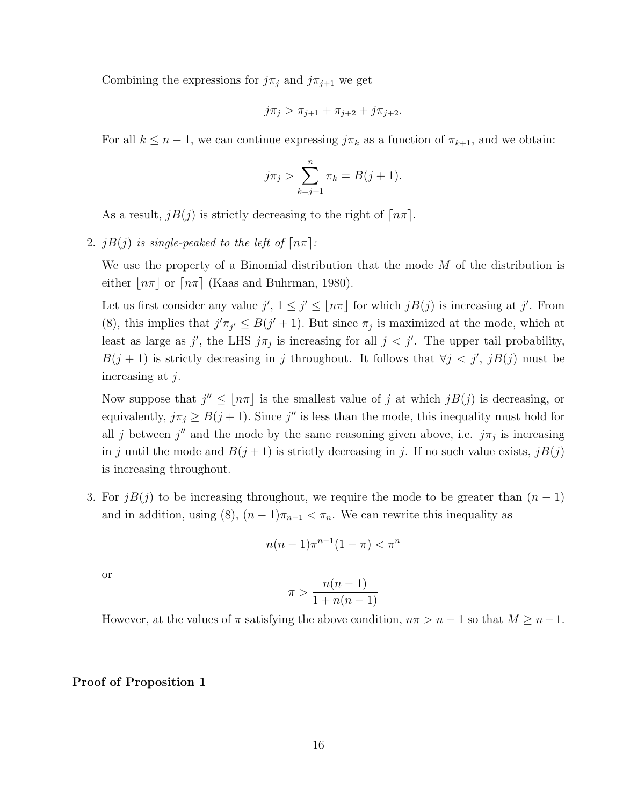Combining the expressions for  $j\pi_j$  and  $j\pi_{j+1}$  we get

$$
j\pi_j > \pi_{j+1} + \pi_{j+2} + j\pi_{j+2}.
$$

For all  $k \leq n-1$ , we can continue expressing  $j\pi_k$  as a function of  $\pi_{k+1}$ , and we obtain:

$$
j\pi_j > \sum_{k=j+1}^n \pi_k = B(j+1).
$$

As a result,  $iB(j)$  is strictly decreasing to the right of  $\lceil n\pi \rceil$ .

2. jB(j) is single-peaked to the left of  $\lceil n\pi \rceil$ :

We use the property of a Binomial distribution that the mode  $M$  of the distribution is either  $n\pi$  or  $\lceil n\pi \rceil$  (Kaas and Buhrman, 1980).

Let us first consider any value  $j'$ ,  $1 \leq j' \leq \lfloor n\pi \rfloor$  for which  $jB(j)$  is increasing at j'. From (8), this implies that  $j'\pi_{j'} \leq B(j'+1)$ . But since  $\pi_j$  is maximized at the mode, which at least as large as j', the LHS  $j\pi_j$  is increasing for all  $j < j'$ . The upper tail probability,  $B(j + 1)$  is strictly decreasing in j throughout. It follows that  $\forall j < j', jB(j)$  must be increasing at j.

Now suppose that  $j'' \leq |n\pi|$  is the smallest value of j at which  $jB(j)$  is decreasing, or equivalently,  $j\pi_j \geq B(j+1)$ . Since j'' is less than the mode, this inequality must hold for all j between  $j''$  and the mode by the same reasoning given above, i.e.  $j\pi_j$  is increasing in j until the mode and  $B(j + 1)$  is strictly decreasing in j. If no such value exists,  $jB(j)$ is increasing throughout.

3. For  $jB(j)$  to be increasing throughout, we require the mode to be greater than  $(n-1)$ and in addition, using (8),  $(n-1)\pi_{n-1} < \pi_n$ . We can rewrite this inequality as

$$
n(n-1)\pi^{n-1}(1-\pi) < \pi^n
$$

or

$$
\pi > \frac{n(n-1)}{1 + n(n-1)}
$$

However, at the values of  $\pi$  satisfying the above condition,  $n\pi > n - 1$  so that  $M \geq n - 1$ .

#### Proof of Proposition 1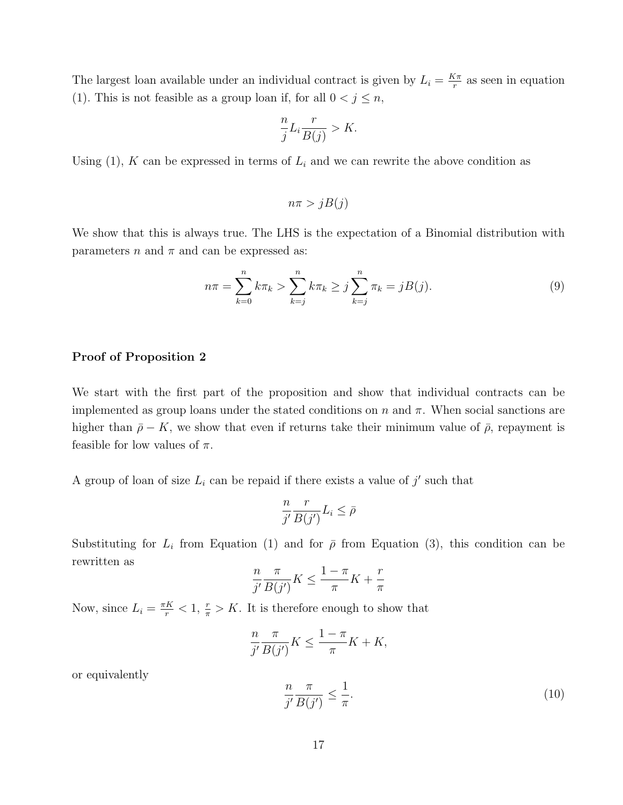The largest loan available under an individual contract is given by  $L_i = \frac{K\pi}{r}$  $\frac{1}{r}$  as seen in equation (1). This is not feasible as a group loan if, for all  $0 < j \leq n$ ,

$$
\frac{n}{j}L_i \frac{r}{B(j)} > K.
$$

Using  $(1)$ , K can be expressed in terms of  $L_i$  and we can rewrite the above condition as

$$
n\pi > jB(j)
$$

We show that this is always true. The LHS is the expectation of a Binomial distribution with parameters n and  $\pi$  and can be expressed as:

$$
n\pi = \sum_{k=0}^{n} k\pi_k > \sum_{k=j}^{n} k\pi_k \ge j \sum_{k=j}^{n} \pi_k = jB(j).
$$
 (9)

#### Proof of Proposition 2

We start with the first part of the proposition and show that individual contracts can be implemented as group loans under the stated conditions on  $n$  and  $\pi$ . When social sanctions are higher than  $\bar{\rho}$  – K, we show that even if returns take their minimum value of  $\bar{\rho}$ , repayment is feasible for low values of  $\pi$ .

A group of loan of size  $L_i$  can be repaid if there exists a value of  $j'$  such that

$$
\frac{n}{j'}\frac{r}{B(j')}L_i \le \bar{\rho}
$$

Substituting for  $L_i$  from Equation (1) and for  $\bar{\rho}$  from Equation (3), this condition can be rewritten as

$$
\frac{n}{j'}\frac{\pi}{B(j')}K \le \frac{1-\pi}{\pi}K + \frac{r}{\pi}
$$

Now, since  $L_i = \frac{\pi K}{r} < 1$ ,  $\frac{r}{\pi} > K$ . It is therefore enough to show that

$$
\frac{n}{j'}\frac{\pi}{B(j')}K \le \frac{1-\pi}{\pi}K + K,
$$

or equivalently

$$
\frac{n}{j'}\frac{\pi}{B(j')} \le \frac{1}{\pi}.\tag{10}
$$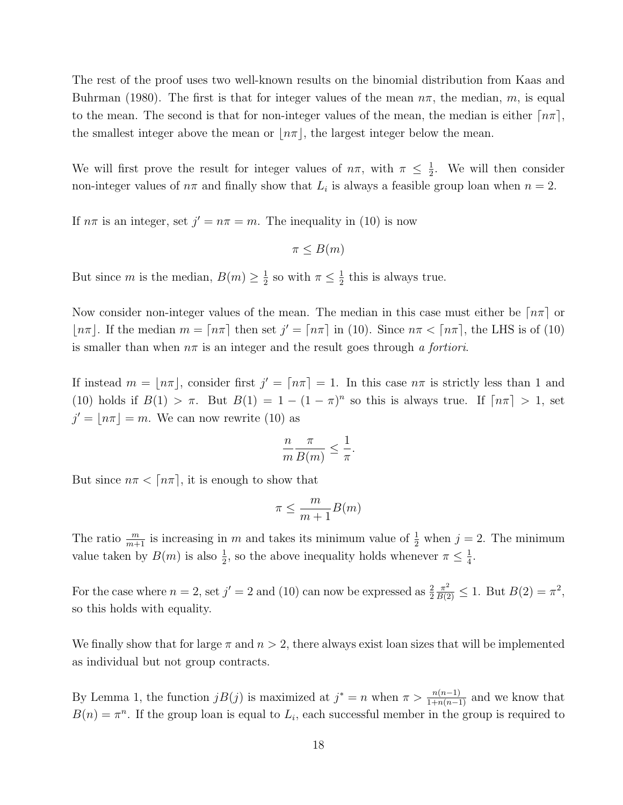The rest of the proof uses two well-known results on the binomial distribution from Kaas and Buhrman (1980). The first is that for integer values of the mean  $n\pi$ , the median, m, is equal to the mean. The second is that for non-integer values of the mean, the median is either  $\lceil n\pi \rceil$ , the smallest integer above the mean or  $n\pi$ , the largest integer below the mean.

We will first prove the result for integer values of  $n\pi$ , with  $\pi \leq \frac{1}{2}$  $\frac{1}{2}$ . We will then consider non-integer values of  $n\pi$  and finally show that  $L_i$  is always a feasible group loan when  $n = 2$ .

If  $n\pi$  is an integer, set  $j' = n\pi = m$ . The inequality in (10) is now

$$
\pi \leq B(m)
$$

But since m is the median,  $B(m) \geq \frac{1}{2}$  $\frac{1}{2}$  so with  $\pi \leq \frac{1}{2}$  $\frac{1}{2}$  this is always true.

Now consider non-integer values of the mean. The median in this case must either be  $\lceil n\pi \rceil$  or  $|n\pi|$ . If the median  $m = \lceil n\pi \rceil$  then set  $j' = \lceil n\pi \rceil$  in (10). Since  $n\pi < \lceil n\pi \rceil$ , the LHS is of (10) is smaller than when  $n\pi$  is an integer and the result goes through a fortiori.

If instead  $m = \lfloor n\pi \rfloor$ , consider first  $j' = \lceil n\pi \rceil = 1$ . In this case  $n\pi$  is strictly less than 1 and (10) holds if  $B(1) > \pi$ . But  $B(1) = 1 - (1 - \pi)^n$  so this is always true. If  $\lceil n\pi \rceil > 1$ , set  $j' = |n\pi| = m$ . We can now rewrite (10) as

$$
\frac{n}{m}\frac{\pi}{B(m)} \le \frac{1}{\pi}.
$$

But since  $n\pi < \lceil n\pi \rceil$ , it is enough to show that

$$
\pi \le \frac{m}{m+1}B(m)
$$

The ratio  $\frac{m}{m+1}$  is increasing in m and takes its minimum value of  $\frac{1}{2}$  when  $j = 2$ . The minimum value taken by  $B(m)$  is also  $\frac{1}{2}$ , so the above inequality holds whenever  $\pi \leq \frac{1}{4}$  $\frac{1}{4}$ .

For the case where  $n = 2$ , set  $j' = 2$  and (10) can now be expressed as  $\frac{2}{2}$  $\frac{\pi^2}{B(2)} \leq 1$ . But  $B(2) = \pi^2$ , so this holds with equality.

We finally show that for large  $\pi$  and  $n > 2$ , there always exist loan sizes that will be implemented as individual but not group contracts.

By Lemma 1, the function  $jB(j)$  is maximized at  $j^* = n$  when  $\pi > \frac{n(n-1)}{1+n(n-1)}$  and we know that  $B(n) = \pi^n$ . If the group loan is equal to  $L_i$ , each successful member in the group is required to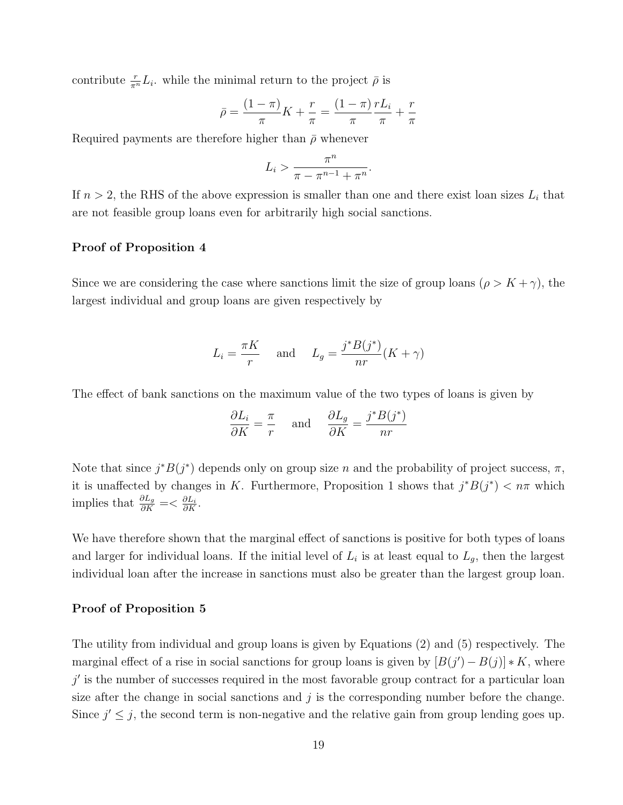contribute  $\frac{r}{\pi^n} L_i$ , while the minimal return to the project  $\bar{\rho}$  is

$$
\bar{\rho} = \frac{(1 - \pi)}{\pi} K + \frac{r}{\pi} = \frac{(1 - \pi)}{\pi} \frac{r L_i}{\pi} + \frac{r}{\pi}
$$

Required payments are therefore higher than  $\bar{\rho}$  whenever

$$
L_i > \frac{\pi^n}{\pi - \pi^{n-1} + \pi^n}.
$$

If  $n > 2$ , the RHS of the above expression is smaller than one and there exist loan sizes  $L_i$  that are not feasible group loans even for arbitrarily high social sanctions.

#### Proof of Proposition 4

Since we are considering the case where sanctions limit the size of group loans ( $\rho > K + \gamma$ ), the largest individual and group loans are given respectively by

$$
L_i = \frac{\pi K}{r} \quad \text{and} \quad L_g = \frac{j^* B(j^*)}{nr} (K + \gamma)
$$

The effect of bank sanctions on the maximum value of the two types of loans is given by

$$
\frac{\partial L_i}{\partial K} = \frac{\pi}{r} \quad \text{and} \quad \frac{\partial L_g}{\partial K} = \frac{j^* B(j^*)}{nr}
$$

Note that since  $j^*B(j^*)$  depends only on group size n and the probability of project success,  $\pi$ , it is unaffected by changes in K. Furthermore, Proposition 1 shows that  $j^*B(j^*) < n\pi$  which implies that  $\frac{\partial L_g}{\partial K} = \langle \frac{\partial L_i}{\partial K} \rangle$ .

We have therefore shown that the marginal effect of sanctions is positive for both types of loans and larger for individual loans. If the initial level of  $L_i$  is at least equal to  $L_g$ , then the largest individual loan after the increase in sanctions must also be greater than the largest group loan.

#### Proof of Proposition 5

The utility from individual and group loans is given by Equations (2) and (5) respectively. The marginal effect of a rise in social sanctions for group loans is given by  $[B(j') - B(j)] * K$ , where  $j'$  is the number of successes required in the most favorable group contract for a particular loan size after the change in social sanctions and  $j$  is the corresponding number before the change. Since  $j' \leq j$ , the second term is non-negative and the relative gain from group lending goes up.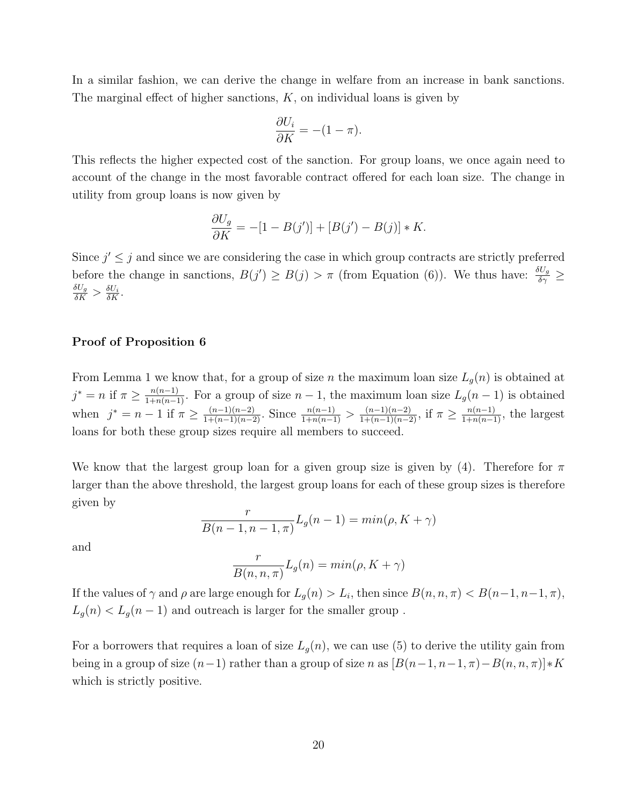In a similar fashion, we can derive the change in welfare from an increase in bank sanctions. The marginal effect of higher sanctions,  $K$ , on individual loans is given by

$$
\frac{\partial U_i}{\partial K} = -(1 - \pi).
$$

This reflects the higher expected cost of the sanction. For group loans, we once again need to account of the change in the most favorable contract offered for each loan size. The change in utility from group loans is now given by

$$
\frac{\partial U_g}{\partial K} = -[1 - B(j')] + [B(j') - B(j)] * K.
$$

Since  $j' \leq j$  and since we are considering the case in which group contracts are strictly preferred before the change in sanctions,  $B(j') \ge B(j) > \pi$  (from Equation (6)). We thus have:  $\frac{\delta U_g}{\delta \gamma} \ge$  $\frac{\delta U_g}{\delta K} > \frac{\delta U_i}{\delta K}.$ 

#### Proof of Proposition 6

From Lemma 1 we know that, for a group of size n the maximum loan size  $L_g(n)$  is obtained at  $j^* = n$  if  $\pi \ge \frac{n(n-1)}{1+n(n-1)}$ . For a group of size  $n-1$ , the maximum loan size  $L_g(n-1)$  is obtained when  $j^* = n - 1$  if  $\pi \ge \frac{(n-1)(n-2)}{1 + (n-1)(n-2)}$ . Since  $\frac{n(n-1)}{1 + n(n-1)} > \frac{(n-1)(n-2)}{1 + (n-1)(n-2)}$ , if  $\pi \ge \frac{n(n-1)}{1 + n(n-1)}$ , the largest loans for both these group sizes require all members to succeed.

We know that the largest group loan for a given group size is given by (4). Therefore for  $\pi$ larger than the above threshold, the largest group loans for each of these group sizes is therefore given by

$$
\frac{r}{B(n-1, n-1, \pi)} L_g(n-1) = \min(\rho, K + \gamma)
$$

and

$$
\frac{r}{B(n,n,\pi)}L_g(n) = \min(\rho, K + \gamma)
$$

If the values of  $\gamma$  and  $\rho$  are large enough for  $L_g(n) > L_i$ , then since  $B(n, n, \pi) < B(n-1, n-1, \pi)$ ,  $L_g(n) < L_g(n-1)$  and outreach is larger for the smaller group.

For a borrowers that requires a loan of size  $L_g(n)$ , we can use (5) to derive the utility gain from being in a group of size  $(n-1)$  rather than a group of size n as  $[B(n-1, n-1, \pi)-B(n, n, \pi)]*K$ which is strictly positive.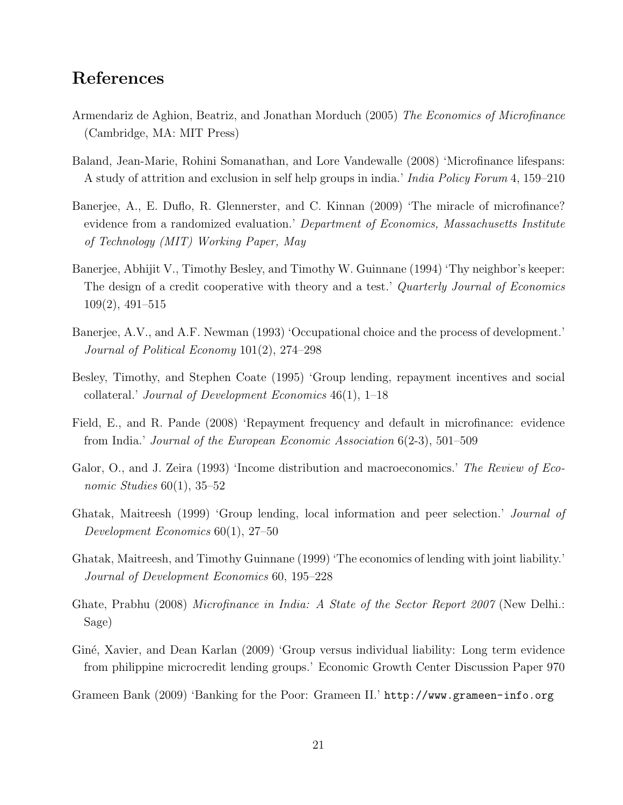### References

- Armendariz de Aghion, Beatriz, and Jonathan Morduch (2005) The Economics of Microfinance (Cambridge, MA: MIT Press)
- Baland, Jean-Marie, Rohini Somanathan, and Lore Vandewalle (2008) 'Microfinance lifespans: A study of attrition and exclusion in self help groups in india.' India Policy Forum 4, 159–210
- Banerjee, A., E. Duflo, R. Glennerster, and C. Kinnan (2009) 'The miracle of microfinance? evidence from a randomized evaluation.' Department of Economics, Massachusetts Institute of Technology (MIT) Working Paper, May
- Banerjee, Abhijit V., Timothy Besley, and Timothy W. Guinnane (1994) 'Thy neighbor's keeper: The design of a credit cooperative with theory and a test.' *Quarterly Journal of Economics* 109(2), 491–515
- Banerjee, A.V., and A.F. Newman (1993) 'Occupational choice and the process of development.' Journal of Political Economy 101(2), 274–298
- Besley, Timothy, and Stephen Coate (1995) 'Group lending, repayment incentives and social collateral.' Journal of Development Economics 46(1), 1–18
- Field, E., and R. Pande (2008) 'Repayment frequency and default in microfinance: evidence from India.' Journal of the European Economic Association 6(2-3), 501–509
- Galor, O., and J. Zeira (1993) 'Income distribution and macroeconomics.' The Review of Economic Studies  $60(1)$ , 35–52
- Ghatak, Maitreesh (1999) 'Group lending, local information and peer selection.' Journal of Development Economics 60(1), 27–50
- Ghatak, Maitreesh, and Timothy Guinnane (1999) 'The economics of lending with joint liability.' Journal of Development Economics 60, 195–228
- Ghate, Prabhu (2008) Microfinance in India: A State of the Sector Report 2007 (New Delhi.: Sage)
- Gin´e, Xavier, and Dean Karlan (2009) 'Group versus individual liability: Long term evidence from philippine microcredit lending groups.' Economic Growth Center Discussion Paper 970
- Grameen Bank (2009) 'Banking for the Poor: Grameen II.' http://www.grameen-info.org